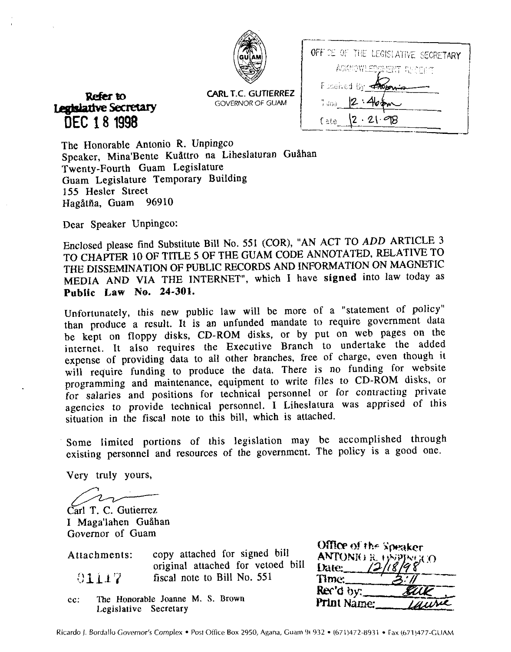| ¢,<br>ł<br>C |
|--------------|
|              |

**CARL T.C. GUTIERREZ**  GOVERNOR OF **GUAM** 

| OFFICE OF THE LEGISLATIVE SECRETARY |
|-------------------------------------|
| ACKNOWLEDOMENT RECENT               |
| Foodived by the                     |
| 2:4<br>7.789                        |
| $2 \cdot 2$<br>Eate                 |
|                                     |

**Rekrto**  Legislative Secretary **DEC 1 8 1998** 

The Honorable Antonio R. Unpingco Speaker, Mina'Bente Kuåttro na Liheslaturan Guåhan Twenty-Fourth Guam Legislature Guam Legislature Temporary Building 155 Hesler Street<br>Hagåtña Guam 96910 Hagåtña, Guam

Dear Speaker Unpingco:

Enclosed please find Substitute Bill No. 551 (COR), "AN ACT TO ADD ARTICLE 3 TO CHAPTER 10 OF TITLE 5 OF THE GUAM CODE ANNOTATED, RELATIVE TO THE DISSEMINATION OF PUBLIC RECORDS AND INFORMATION ON MAGNETIC MEDIA AND VIA THE INTERNET", which I have **signed** into law today as **Public Law** No. **24-301.** 

Unfortunately, this new public law will be more of a "statement of policy" than produce a result. It is an unfunded mandate to require government data be kept on floppy disks, CD-ROM disks, or by put on web pages on the internet. It also requires the Executive Branch to undertake the added expense of providing data to all other branches, free of charge, even though it will require funding to produce the data. There is no funding for website programming and maintenance, equipment to write files to CD-ROM disks, or for salaries and positions for technical personnel or for contracting private agencies to provide technical personnel. I Liheslatura was apprised of this situation in the fiscal note to this bill, which is attached. O CHAPTER 10 OF TITLE 5 OF THE GUAN<br>HE DISSEMINATION OF PUBLIC RECORDS<br>HEDIA AND VIA THE INTERNET", whi<br>ublic Law No. 24-301.<br>Infortunately, this new public law will laan produce a result. It is an unfunded<br>e kept on flopp

Some limited portions of this legislation may be accomplished through existing personnel and resources of the government. The policy is a good one.

Carl T. C. Gutierrez I Maga'lahen Guåhan Governor of Guam

| Attachments: | copy attached for signed bill     |
|--------------|-----------------------------------|
|              | original attached for vetoed bill |
| 01117        | fiscal note to Bill No. 551       |

**cc: The Honorable Joanne M. S. Brown Legislative Secretary** 

| Office of the Speaker |                |
|-----------------------|----------------|
|                       |                |
| ANTONIO R. 1999-1900  |                |
| Time:                 | $^{\prime}$ // |
| Rec'd by:             |                |
| Print Name:           | until          |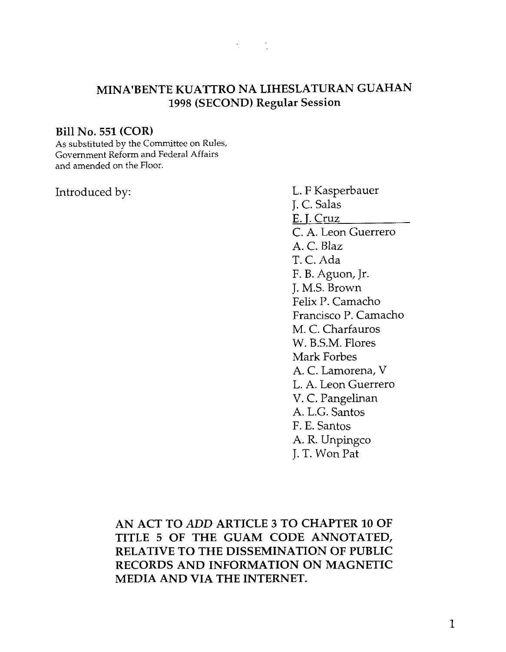

## **MINA'BENTE KUATTRO NA LIHESLATURAN GUAHAN 1998 (SECOND) Regular Session**

### **Bill No. 551 (COR)**

As substituted **by** the Committee on Rules, Government Reform and Federal Affairs and amended on the Floor.

Introduced by: L. F Kasperbauer J. C. Salas E. 1. Cruz C. A. Leon Guerrero A. C. Blaz T. C. Ada F. B. Aguon, Jr. J. M.S. Brown Felix P. Camacho Francisco P. Camacho M. C. Charfauros W. B.S.M. Flores Mark Forbes A. C. Lamorena, V L. A. Leon Guerrero V. C. Pangelinan A. L.G. Santos F. E. Santos A. R. Unpingco J. T. Won Pat

> **AN ACT TO ADD ARTICLE 3 TO CHAPTER 10 OF TITLE 5 OF THE GUAM CODE ANNOTATED, RELATIVE TO THE DISSEMINATION OF PUBLIC RECORDS AND INFORMATION ON MAGNETIC MEDIA AND VIA THE INTERNET.**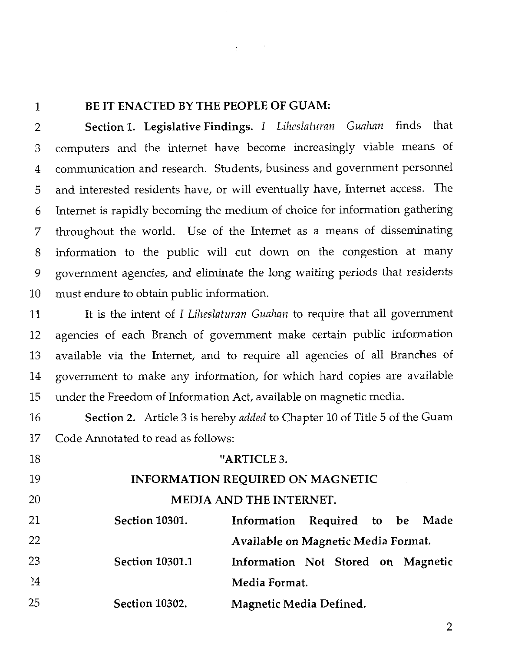$\mathbf{1}$ 

## **BE IT ENACTED BY THE PEOPLE OF GUAM:**

**Section 1. Legislative Findings. I** *Liheslaturan Guahan* finds that  $\overline{2}$ computers and the internet have become increasingly viable means of 3 communication and research. Students, business and government personnel  $\overline{4}$ and interested residents have, or will eventually have, Internet access. The 5 Internet is rapidly becoming the medium of choice for Information gathering 6 throughout the world. Use of the Internet as a means of disseminating  $\overline{7}$ information to the public will cut down on the congestion at many 8 government agencies, and eliminate the long waiting periods that residents 9 10 must endure to obtain public information.

11 It is the intent of I *Liheslaturan Guahan* to require that all govenunent agencies of each Branch of government make certain public information 12 13 available via the Internet, and to require all agencies of all Branches of government to make any information, for which hard copies are available 14 15 under the Freedom of Information Act, available on magnetic media.

16 **Section 2.** Article **3** is hereby *added* to Chapter 10 of Title 5 of the Guam 17 Code Annotated to read as follows:

| 18      |                        | "ARTICLE 3.                             |                |  |  |             |  |  |
|---------|------------------------|-----------------------------------------|----------------|--|--|-------------|--|--|
| 19      |                        | <b>INFORMATION REQUIRED ON MAGNETIC</b> |                |  |  |             |  |  |
| 20      |                        | <b>MEDIA AND THE INTERNET.</b>          |                |  |  |             |  |  |
| 21      | <b>Section 10301.</b>  | Information                             | Required to be |  |  | <b>Made</b> |  |  |
| 22      |                        | Available on Magnetic Media Format.     |                |  |  |             |  |  |
| 23      | <b>Section 10301.1</b> | Information Not Stored on Magnetic      |                |  |  |             |  |  |
| $^{24}$ |                        | Media Format.                           |                |  |  |             |  |  |
| 25      | <b>Section 10302.</b>  | <b>Magnetic Media Defined.</b>          |                |  |  |             |  |  |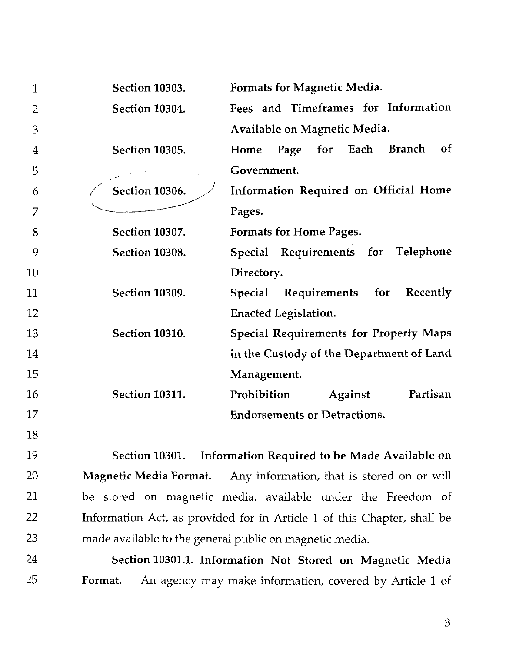| 1              | Section 10303.        | Formats for Magnetic Media.                   |
|----------------|-----------------------|-----------------------------------------------|
| 2              | Section 10304.        | Fees and Timeframes for Information           |
| 3              |                       | Available on Magnetic Media.                  |
| $\overline{4}$ | Section 10305.        | Branch<br>Page for Each<br>0f<br>Home         |
| 5              |                       | Government.                                   |
| 6              | <b>Section 10306.</b> | Information Required on Official Home         |
| 7              |                       | Pages.                                        |
| 8              | Section 10307.        | Formats for Home Pages.                       |
| 9              | Section 10308.        | Special Requirements for<br><b>Telephone</b>  |
| 10             |                       | Directory.                                    |
| 11             | Section 10309.        | Requirements for<br>Recently<br>Special       |
| 12             |                       | Enacted Legislation.                          |
| 13             | <b>Section 10310.</b> | <b>Special Requirements for Property Maps</b> |
| 14             |                       | in the Custody of the Department of Land      |
| 15             |                       | Management.                                   |
| 16             | <b>Section 10311.</b> | Prohibition<br>Partisan<br>Against            |
| 17             |                       | <b>Endorsements or Detractions.</b>           |
| 18             |                       |                                               |

 $\sim 10^{11}$ 

Section **10301.** Information Required to be Made Available on 19 20 Magnetic Media Format. Any information, that is stored on or will 21 be stored on magnetic media, available under the Freedom of 22 Information Act, as provided for in Article 1 of this Chapter, shall be 23 made available to the general public on magnetic media.

24 Section **10301.1.** Information Not Stored on Magnetic Media 25 Format. An agency may make information, covered by Article 1 of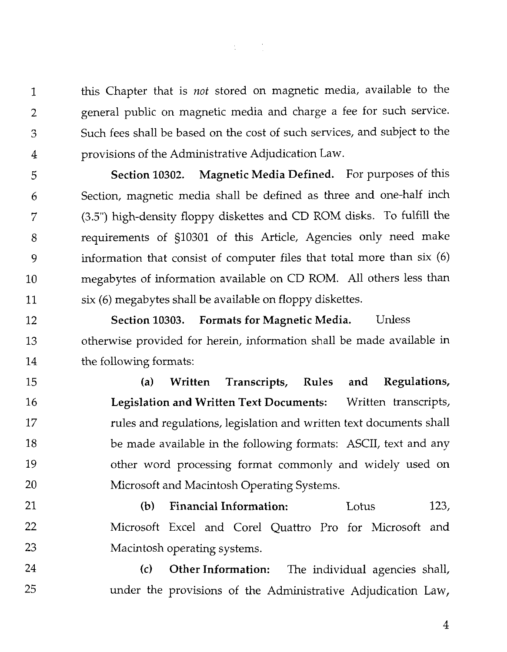this Chapter that is not stored on magnetic media, available to the general public on magnetic media and charge a fee for such service. Such fees shall be based on the cost of such services, and subject to the provisions of the Administrative Adjudication Law.

 $\mathbf{1}$ 

 $\overline{2}$ 

3

 $\boldsymbol{\varDelta}$ 

5

6

7

8

9

 $10$ 

11

 $\frac{1}{2} \sum_{i=1}^n \frac{1}{2} \sum_{j=1}^n \frac{1}{2} \sum_{j=1}^n \frac{1}{2} \sum_{j=1}^n \frac{1}{2} \sum_{j=1}^n \frac{1}{2} \sum_{j=1}^n \frac{1}{2} \sum_{j=1}^n \frac{1}{2} \sum_{j=1}^n \frac{1}{2} \sum_{j=1}^n \frac{1}{2} \sum_{j=1}^n \frac{1}{2} \sum_{j=1}^n \frac{1}{2} \sum_{j=1}^n \frac{1}{2} \sum_{j=1}^n \frac{1}{2} \sum_{j=$ 

**Section 10302. Magnetic Media Defined.** For purposes of this Section, magnetic media shall be defined as three and one-half inch (3.5") high-density floppy diskettes and CD ROM disks. To fulfill the requirements of §10301 of this Article, Agencies only need make information that consist of computer files that total more than six (6) megabytes of information available on CD ROM. All others less than six (6) megabytes shall be available on floppy diskettes.

**Section 10303. Formats for Magnetic Media.** Unless 12 otherwise provided for herein, information shall be made available in 13 14 the following formats:

**(a) Written Transcripts, Rules and Regulations,**  15 16 **Legislation and Written Text Documents:** Written transcripts, 17 rules and regulations, legislation and written text documents shall 18 be made available in the following formats: ASCII, text and any 19 other word processing format commonly and widely used on 20 Microsoft and Macintosh Operating Systems.

21 (b) **Financial Information:** Lotus 123, 22 Microsoft Excel and Core1 Quattro Pro for Microsoft and 23 Macintosh operating systems.

24 **(c) Other Information:** The individual agencies shall, 25 under the provisions of the Administrative Adjudication Law,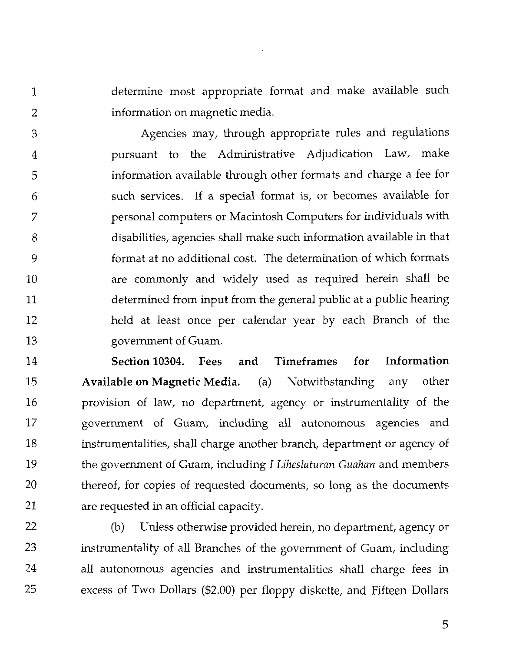determine most appropriate format and make available such information on magnetic media.

Agencies may, through appropriate rules and regulations 3 pursuant to the Administrative Adjudication Law, make 4 information available through other formats and charge a fee for 5 such services. If a special format is, or becomes available for 6 personal computers or Macintosh Computers for individuals with 7 disabilities, agencies shall make such information available in that 8 format at no additional cost. The determination of which formats 9 are commonly and widely used as required herein shall be 10 determined from input from the general public at a public hearing 11 12 held at least once per calendar year by each Branch of the government of Guam. 13

14 Section 10304. Fees and Timeframes for Information 15 Available on Magnetic Media. (a) Notwithstanding any other 16 provision of law, no department, agency or instrumentality of the 17 government of Guam, including all autonomous agencies and 18 instrumentalities, shall charge another branch, department or agency of 19 the government of Guam, including I *Liheslaturan Guahan* and members 20 thereof, for copies of requested documents, so long as the documents 21 are requested in an official capacity.

22 23 24

25

 $\mathbf{1}$ 

 $\overline{2}$ 

(b) Unless otherwise provided herein, no department, agency or instrumentality of all Branches of the government of Guam, including all autonomous agencies and instrumentalities shall charge fees in excess of Two Dollars (\$2.00) per floppy diskette, and Fifteen Dollars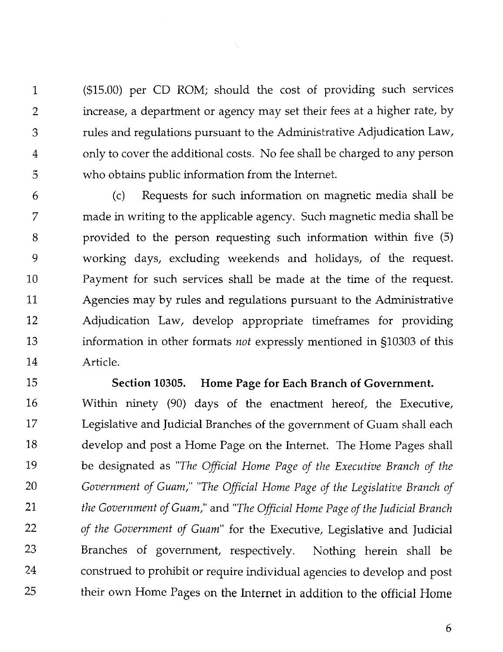(\$15.00) per CD ROM; should the cost of providing such services 1 increase, a department or agency may set their fees at a higher rate, by  $\overline{2}$ rules and regulations pursuant to the Administrative Adjudication Law, 3 only to cover the additional costs. No fee shall be charged to any person  $\overline{4}$ 5 who obtains public information from the Internet.

6 (c) Requests for such information on magnetic media shall be 7 made in writing to the applicable agency. Such magnetic media shall be 8 provided to the person requesting such information within five (5) 9 working days, excluding weekends and holidays, of the request. Payment for such services shall be made at the time of the request. 10 11 Agencies may by rules and regulations pursuant to the Administrative 12 Adjudication Law, develop appropriate timeframes for providing 13 information in other formats *not* expressly mentioned in 510303 of this 14 Article.

15 Section **10305.** Home Page for Each Branch of Government. Within ninety (90) days of the enactment hereof, the Executive, 16 17 Legislative and Judicial Branches of the government of Guam shall each 18 develop and post a Home Page on the Internet. The Home Pages shall 19 be designated as *"The Official Home Page of the Executive Branch of the*  20 *Government of Guam," "The Official Home Page of the Legislative Branch of*  21 *the Government of Guam,"* and *"The Official Home Page of the Judicial Branch*  22 *of the Government of Guam"* for the Executive, Legislative and Judicial 23 Branches of government, respectively. Nothing herein shall be 24 construed to prohibit or require individual agencies to develop and post 25 their own Home Pages on the Internet in addition to the official Home

6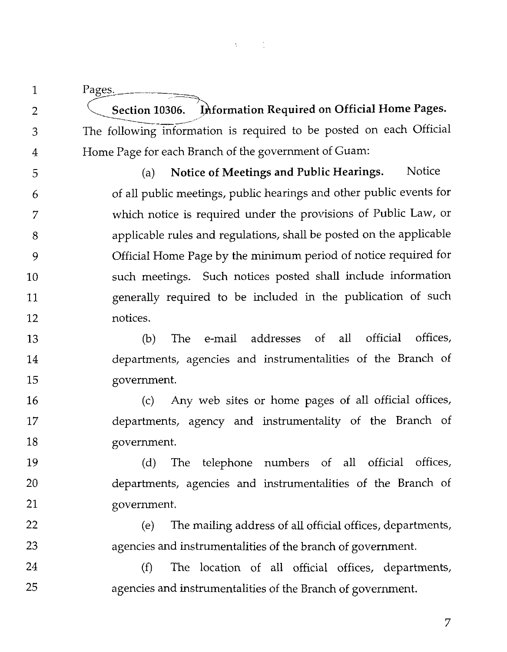Pages.

 $\mathbf 1$ 

 $\overline{2}$ 

3

 $\overline{4}$ 

16

17

18

19

20

21

22

23

24

25

**Section 10306.** ection 10306. Information Required on O<br>Ilowing information is required to be pose 10306. Express.<br>10306. Bection 10306. Information Required on Official Home Pages.<br>12. Following information is required to be posted on each Official The following information is required to be posted on each Official Home Page for each Branch of the government of Guam:

(a) Notice of Meetings and Public Hearings. Notice 5 of all public meetings, public hearings and other public events for 6 which notice is required under the provisions of Public Law, or 7 applicable rules and regulations, shall be posted on the applicable 8 Official Home Page by the minimum period of notice required for 9 such meetings. Such notices posted shall include information 10 generally required to be included in the publication of such 11 notices.  $12$ 

(b) The e-mail addresses of all official offices, 13 departments, agencies and instrumentalities of the Branch of 14 15 government.

(c) Any web sites or home pages of **all** official offices, departments, agency and instrumentality of the Branch of government.

(d) The telephone numbers of all official offices, departments, agencies and instrumentalities of the Branch of government.

(e) The mailing address of all official offices, departments, agencies and instrumentalities of the branch of government.

**(f)** The location of all official offices, departments, agencies and instrumentalities of the Branch of government.

7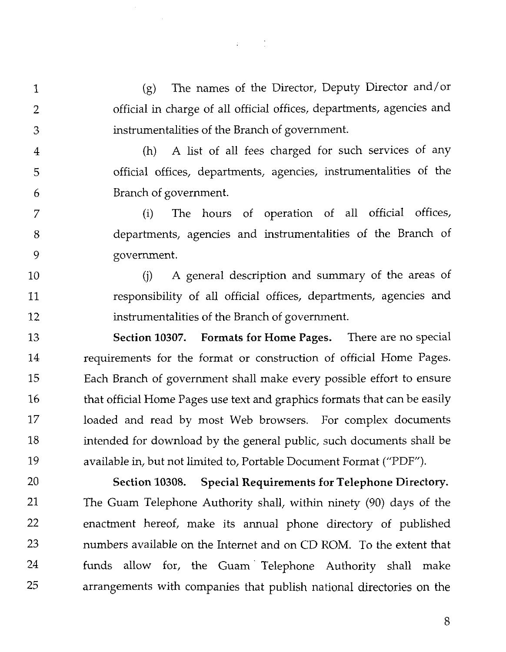(g) The names of the Director, Deputy Director and/or 1 official in charge of all official offices, departments, agencies and  $\overline{2}$ instrumentalities of the Branch of government. 3 (h) A list of all fees charged for such services of any  $\overline{4}$ official offices, departments, agencies, instrumentalities of the 5 6 Branch of government.

 $\mathcal{L}^{\text{max}}(\mathcal{L})$ 

(i) The hours of operation of all official offices, 7 departments, agencies and instrumentalities of the Branch of 8 9 government.

(j) A general description and summary of the areas of 10 responsibility of all official offices, departments, agencies and 11 instrumentalities of the Branch of government. 12

**Section 10307. Formats for Home Pages.** There are no special 13 14 requirements for the format or construction of official Home Pages. 15 Each Branch of government shall make every possible effort to ensure 16 that official Home Pages use text and graphics formats that can be easily 17 loaded and read by most Web browsers. For complex documents 18 intended for download by the general public, such documents shall be 19 available in, but not limited to, Portable Document Format ("PDF").

20 **Section 10308. Special Requirements for Telephone Directory.**  21 The Guam Telephone Authority shall, within ninety (90) days of the 22 enactment hereof, make its annual phone directory of published 23 numbers available on the Internet and on CD ROM. To the extent that 24 funds allow for, the Guam' Telephone Authority shall make 25 arrangements with companies that publish national directories on the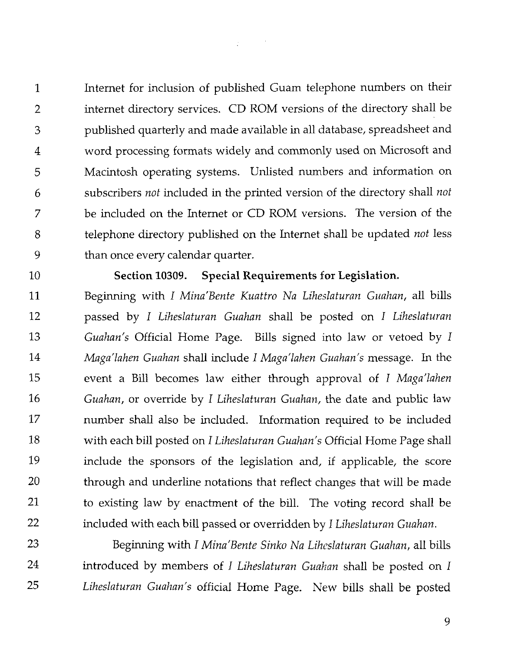Internet for inclusion of published Guam telephone numbers on their  $\mathbf{1}$  $\overline{2}$ internet directory services. CD ROM versions of the directory shall be published quarterly and made available in all database, spreadsheet and 3 word processing formats widely and commonly used on Microsoft and  $\overline{4}$ Macintosh operating systems. Unlisted numbers and information on 5 subscribers *not* included in the printed version of the directory shall *not*  6  $\overline{7}$ be included on the Internet or CD ROM versions. The version of the 8 telephone directory published on the Internet shall be updated *not* less 9 than once every calendar quarter.

10

## Section 10309. Special Requirements for Legislation.

 $11$ Beginning with I *Mina'Bente Kuattro Na Liheslaturan Guahan,* all bills 12 passed by *1 Liheslaturan Guahan* shall be posted on *1 Liheslaturan*  13 *Guahan's* Official Home Page. Bills signed into law or vetoed by I 14 *Maga'lahen Guahan* shall include *I Maga'lahen Guahan's* message. In the 15 event a Bill becomes law either through approval of I *Maga'lahen*  16 *Guahan,* or override by *I Liheslaturan Guahan,* the date and public law 17 number shall also be included. Information required to be included 18 with each bill posted on I *Liheslaturan Guahan's* Official Home Page shall 19 include the sponsors of the legislation and, if applicable, the score 20 through and underline notations that reflect changes that will be made 21 to existing law by enactment of the bill. The voting record shall be 22 included with each bill passed or overridden by I *Liheslaturan Guahan.* 

23 Beginning with I Mina'Bente Sinko Na Liheslaturan Guahan, all bills 24 introduced by members of I *Liheslaturan Guahan* shall be posted on I 25 *Liheslaturan Guahan's* official Home Page. New bills shall be posted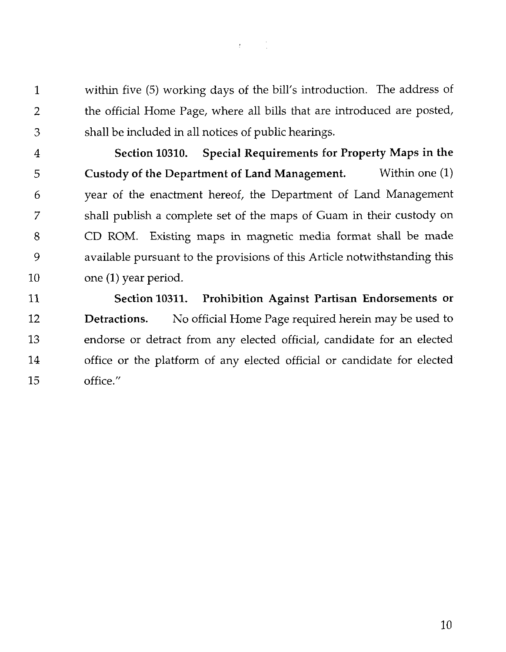$\mathcal{L} = \{ \mathcal{L} \}$  .

within five (5) working days of the bill's introduction. The address of  $\mathbf 1$  $\overline{2}$ the official Home Page, where all bills that are introduced are posted, shall be included in all notices of public hearings. 3

**Section 10310. Special Requirements for Property Maps in the**  4 5 **Custody of the Department of Land Management.** Within one (1) year of the enactment hereof, the Department of Land Management 6 shall publish a complete set of the maps of Guam in their custody on 7 CD ROM. Existing maps in magnetic media format shall be made 8 9 available pursuant to the provisions of this Article notwithstanding this one **(1)** year period. 10

11 **Section 10311. Prohibition Against Partisan Endorsements or**  12 **Detractions.** No official Home Page required herein may be used to 13 endorse or detract from any elected official, candidate for an elected 14 office or the platform of any elected official or candidate for elected office." 15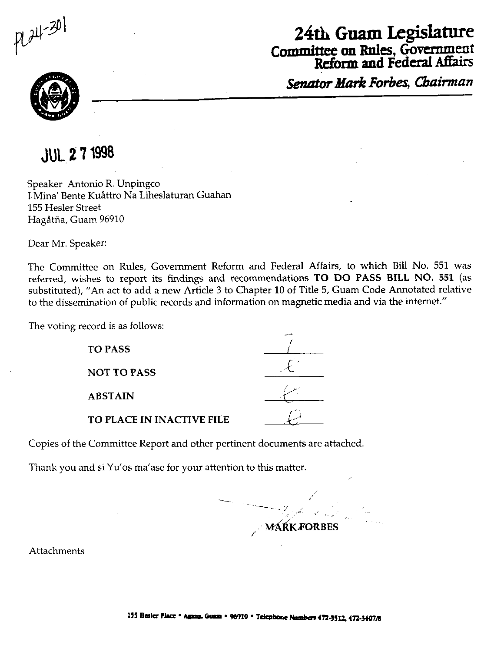$724 - 301$ 

## **24th Guam Legislature Committee on Rules, Government Reform and Federal** Affairs

*Senator Mark* **Forbes,** *Cbainnan* 



## **JUL 27 1998**

Speaker Antonio R. Unpingco I-Mina' Bente Kuittro Na Liheslaturan Guahan 155 Hesler Street Hagåtña, Guam 96910

Dear Mr. Speaker:

The Committee on Rules, Government Reform and Federal Affairs, to which Bill No. 551 was referred, wishes to report its findings and recommendations **TO DO PASS BILL NO. 551** (as substituted), "An act to add a new Article **3** to Chapter 10 of Title 5, Guam Code Annotated relative to the dissemination of public records and information on magnetic media and via the internet."

The voting record is as follows:

**NOT TO PASS** 

**ABSTAIN** 

| ord is as follows:               |  |
|----------------------------------|--|
| <b>TO PASS</b>                   |  |
| <b>NOT TO PASS</b>               |  |
| <b>ABSTAIN</b>                   |  |
| <b>TO PLACE IN INACTIVE FILE</b> |  |

### TO **PLACE IN INACTIVE FILE**

Copies of the Committee Report and other pertinent documents are attached.

Thank you and si Yu'os ma'ase for your attention to this matter.

**MÁŔK FORBES** 

Attachments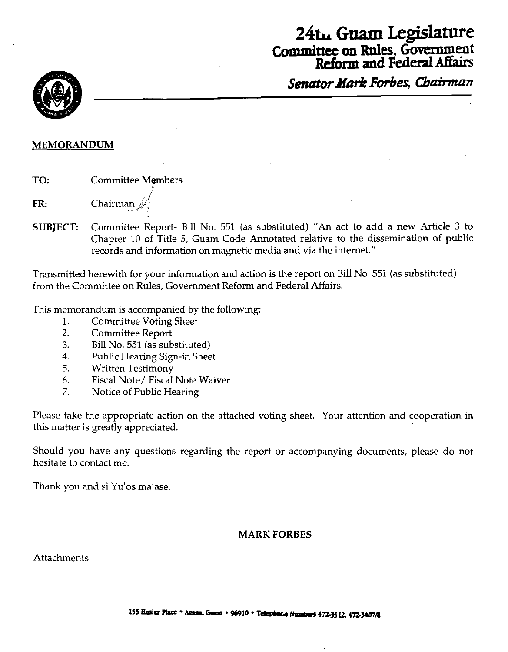## **24t, Guam Legislature**  Committee **on Rnles,** Government Refom **and Federal** Affairs

**Senator Mark Forbes, Chairman** 



### **MEMORANDUM**

**TO:** Committee Members

**FR:** Chairman  $\#$ -12 - 12 - 12 - 12 - 12

**SUBJECT:** Committee Report- Bill No. 551 (as substituted) "An act to add a new Article **3** to Chapter 10 of Title 5, Guam Code Annotated relative to the dissemination of public records and information on magnetic media and via the internet."

Transmitted herewith for your information and action is the report on Bill No. 551 (as substituted) from the Committee on Rules, Government Reform and Federal Affairs.

This memorandum is accompanied by the following:

- 1. Committee Voting Sheet
- 2. Committee Report
- **3.** Bill No. 551 (as substituted)
- 4. Public Hearing Sign-in Sheet
- 5. Written Testimony
- 6. Fiscal Note/ Fiscal Note Waiver
- 7. Notice of Public Hearing

Please take the appropriate action on the attached voting sheet. Your attention and cooperation in this matter is greatly appreciated.

Should you have any questions regarding the report or accompanying documents, please do not hesitate to contact me.

Thank you and si Yu'os ma'ase.

## **MARK FORBES**

**Attachments**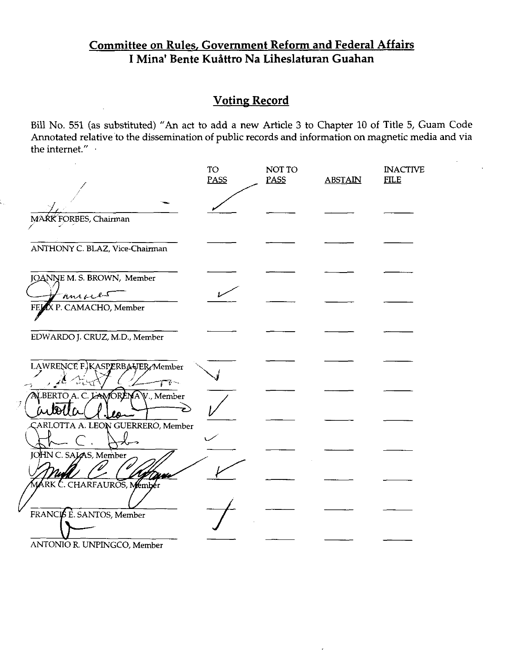## Committee on Rules, Government Reform and Federal Affairs I Mina' Bente Kuåttro Na Liheslaturan Guahan

## **Voting Record**

Bill No. 551 (as substituted) "An act to add a new Article 3 to Chapter 10 of Title 5, Guam Code Annotated relative to the dissemination of public records and information on magnetic media and via the internet."

|                                              | TO<br><b>PASS</b> | NOT TO<br>PASS | <b>ABSTAIN</b> | <b>INACTIVE</b><br><b>FILE</b> |
|----------------------------------------------|-------------------|----------------|----------------|--------------------------------|
| MARK FORBES, Chairman                        |                   |                |                |                                |
| ANTHONY C. BLAZ, Vice-Chairman               |                   |                |                |                                |
| JOANNE M. S. BROWN, Member                   |                   |                |                |                                |
| ansace<br>FEJAX P. CAMACHO, Member           |                   |                |                |                                |
| EDWARDO J. CRUZ, M.D., Member                |                   |                |                |                                |
| LAWRENCE F.)KASPERBAJER Member               |                   |                |                |                                |
| マー<br>ALBERTO A. C. LAWORENAV., Member<br>Ž  |                   |                |                |                                |
| iubella<br>CARLOTTA A. LEON GUERRERO, Member |                   |                |                |                                |
| JOHN C. SAJAS, Member                        |                   |                |                |                                |
| MARK C. CHARFAUROS, Member                   |                   |                |                |                                |
| FRANCIS E. SANTOS, Member                    |                   |                |                |                                |
| ANTONIO R. UNPINGCO, Member                  |                   |                |                |                                |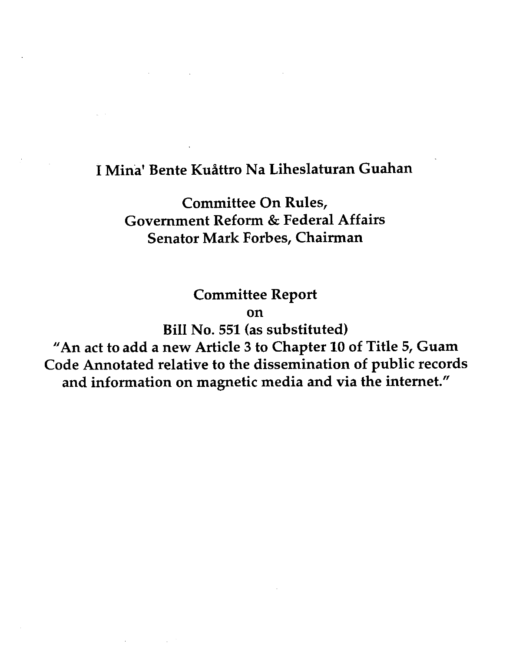## I Mina' Bente Kusttro Na Liheslaturan Guahan

Committee On Rules, Government Reform & Federal Affairs Senator Mark Forbes, Chairman

Committee Report

on

Bill No. 551 (as substituted)

"An act to add a new Article 3 to Chapter 10 of Title 5, Guam Code Annotated relative to the dissemination of public records and information on magnetic media and via the internet."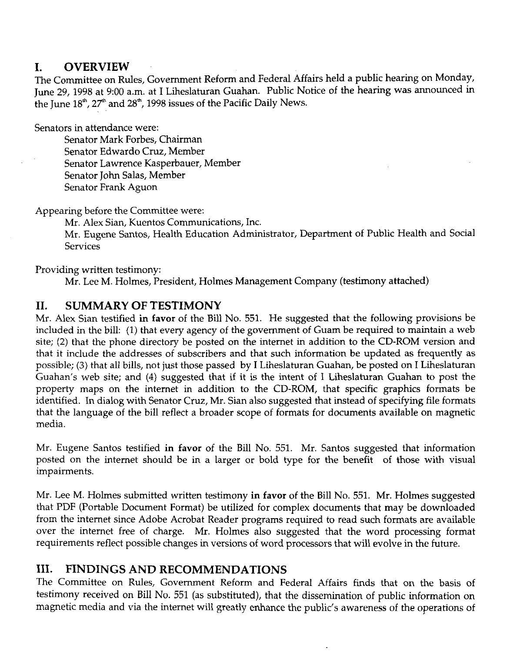## **I. OVERVIEW**

The Committee on Rules, Government Reform and Federal Affairs held a public hearing on Monday, June 29,1998 at 9:00 a.m. at I Liheslaturan Guahan. Public Notice of the hearing was announced in the June 18", *2T"* and 28", 1998 issues of the Pacific Daily News.

Senators in attendance were:

Senator Mark Forbes, Chairman Senator Edwardo Cruz, Member Senator Lawrence Kasperbauer, Member Senator John Salas, Member Senator Frank Aguon

Appearing before the Committee were:

Mr. Alex Sian, Kuentos Communications, Inc.

Mr. Eugene Santos, Health Education Administrator, Department of Public Health and Social Services

Providing written testimony:

Mr. Lee M. Holmes, President, Holmes Management Company (testimony attached)

## **11. SUMMARY OF TESTIMONY**

Mr. Alex Sian testified in **favor** of the Bill No. 551. He suggested that the following provisions be included in the bill: (1) that every agency of the government of Guam be required to maintain a web site; (2) that the phone directory be posted on the internet in addition to the CD-ROM version and that it include the addresses of subscribers and that such information be updated as frequently as possible; **(3)** that all bills, not just those passed by I Liheslaturan Guahan, be posted on I Liheslaturan Guahan's web site; and (4) suggested that if it is the intent of I Liheslaturan Guahan to post the property maps on the internet in addition to the CD-ROM, that specific graphics formats be identified. In dialog with Senator Cruz, Mr. Sian also suggested that instead of specifying file formats that the language of the bill reflect a broader scope of formats for documents available on magnetic media.

Mr. Eugene Santos testified in **favor** of the Bill No. 551. Mr. Santos suggested that information posted on the internet should be in a larger or bold type for the benefit of those with visual impairments.

Mr. Lee M. Holmes submitted written testimony in **favor** of the Bill No. 551. Mr. Holmes suggested that PDF (Portable Document Format) be utilized for complex documents that may be downloaded from the internet since Adobe Acrobat Reader programs required to read such formats are available over the internet free of charge. Mr. Holmes also suggested that the word processing format requirements reflect possible changes in versions of word processors that will evolve in the future.

## **111. FINDINGS AND RECOMMENDATIONS**

The Committee on Rules, Government Reform and Federal Affairs finds that on the basis of testimony received on Bill No. 551 (as substituted), that the dissemination of public information on magnetic media and via the internet will greatly enhance the public's awareness of the operations of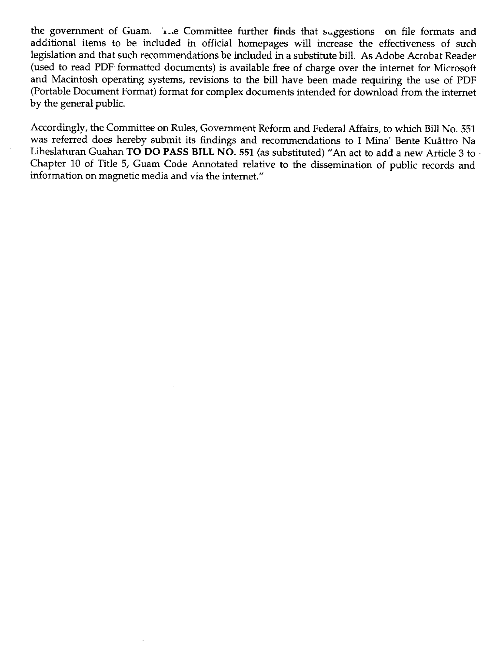the government of Guam. I-.e Committee further finds that suggestions on file formats and additional items to be included in official homepages will increase the effectiveness of such legislation and that such recommendations be included in a substitute bill. **As** Adobe Acrobat Reader (used to read PDF formatted documents) is available free of charge over the internet for Microsoft and Macintosh operating systems, revisions to the bill have been made requiring the use of PDF (Portable Document Format) format for complex documents intended for download from the internet by the general public.

Accordingly, the Committee on Rules, Government Reform and Federal Affairs, to which Bill No. 551 was referred does hereby submit its findings and recommendations to I Mina' Bente Kuåttro Na Liheslaturan Guahan TO DO PASS BILL NO. 551 (as substituted) "An act to add a new Article 3 to -Chapter 10 of Title 5, Guam Code Annotated relative to the dissemination of public records and information on magnetic media and via the internet."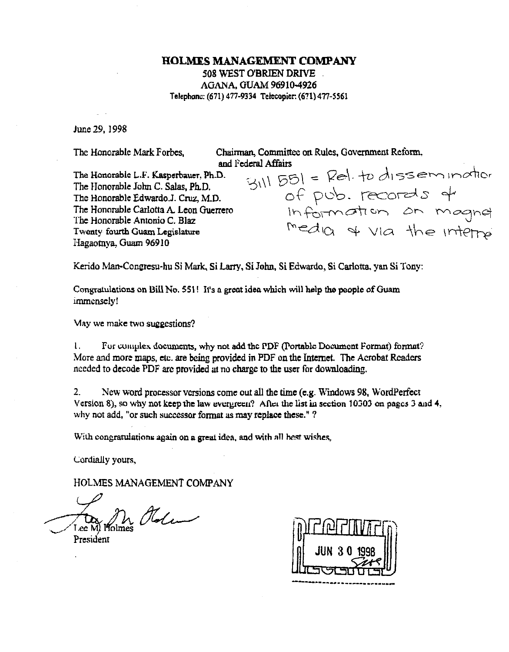### **HOLMES MANAGEMENT COMPANY** 508 WEST O'BRIEN DRIVE AGANA, GUAM 96910-4926 Telephone: (671) 477-9334 Telecopier: (671) 477-5561

June 29, 1998

The Honorable Mark Forbes.

Chairman, Committee on Rules, Government Reform, and Federal Affairs

The Honorable L.F. Kasperbauer, Ph.D. The Honorable John C. Salas, Ph.D. The Honorable Edwardo.J. Cruz, M.D. The Honorable Carlotta A. Leon Guerrero The Honorable Antonio C. Blaz Twenty fourth Guam Legislature Hagaotnya, Guam 96910

Germanisms<br>  $g_{111}$   $g_{51} =$  Rel. to dissemination<br>
of pub. records of<br>
Information on magnet<br>
Information on magnet

Kerido Man-Congresu-hu Si Mark, Si Larry, Si John, Si Edwardo, Si Carlotta, yan Si Tony:

Congratulations on Bill No. 551! It's a great idea which will help the people of Guam immensely!

May we make two suggestions?

1. For complex documents, why not add the PDF (Portable Document Format) format? More and more maps, etc. are being provided in PDF on the Internet. The Acrobat Readers needed to decode PDF are provided at no charge to the user for downloading.

 $2<sub>1</sub>$ New word processor versions come out all the time (e.g. Windows 98, WordPerfect Version 8), so why not keep the law evergreen? After the list in section 10303 on pages 3 and 4, why not add, "or such successor format as may replace these."?

With congratulations again on a great idea, and with all hest wishes,

Cordially yours,

HOLMES MANAGEMENT COMPANY

In Olden President

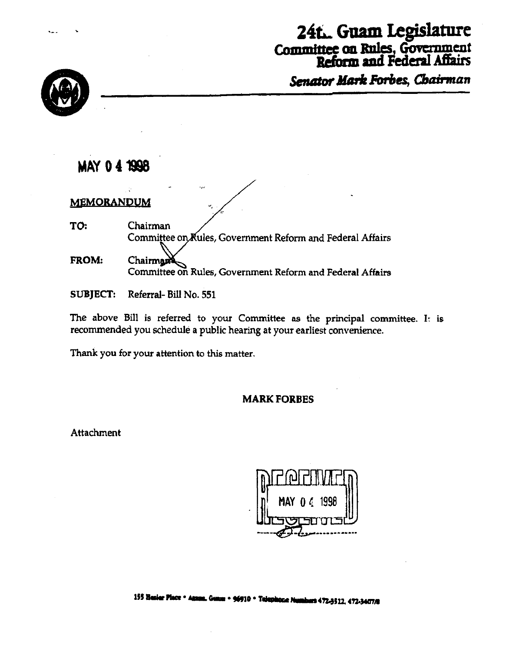# 24t. Guam Legislature

Committee on Rules, Government<br>Reform and Federal Affairs

Senator Mark Forbes, Chairman



## **MAY 041998**

MEMORANDUM

TO: Chairman Committee on Kules, Government Reform and Federal Affairs FROM: Chairman

Committee on Rules, Government Reform and Federal Affairs

**SUBJECT:** Referral-Bill No. 551

The above Bill is referred to your Committee as the principal committee. It is recommended you schedule a public hearing at your earliest convenience.

Thank you for your attention to this matter.

## **MARK FORBES**

Attachment

155 Hester Place . Annual Guarn . 96910 . Telephone Numbers 472-3512, 472-3407/8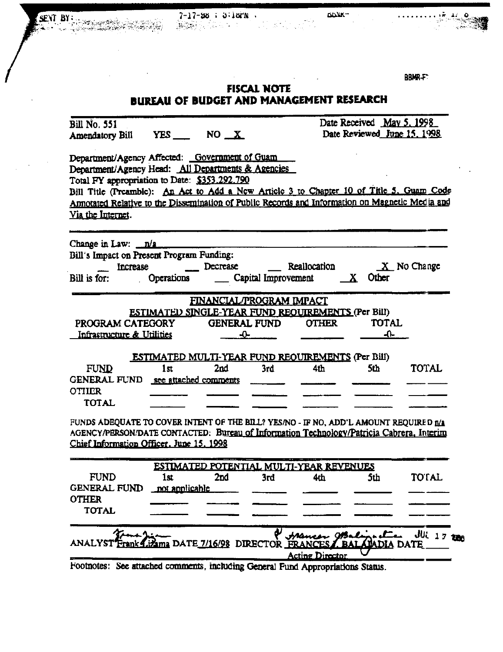$7 - 17 - 98$  ;  $3 \cdot 16 \text{m}$ . <u>. 수준 사회 사회 대표로</u> 보호 사회

SENT BY:

 $DDWR -$ 

**BBMR-F** 

## **FISCAL NOTE BUREAU OF BUDGET AND MANAGEMENT RESEARCH**

| <b>Bill No. 551</b>                                                                                                                                   |                                                    |                         |                          |                                                 | Date Received May 5, 1998<br>Date Reviewed June 15, 1998 |                                 |
|-------------------------------------------------------------------------------------------------------------------------------------------------------|----------------------------------------------------|-------------------------|--------------------------|-------------------------------------------------|----------------------------------------------------------|---------------------------------|
| Amendatory Bill YES ___ NO _X                                                                                                                         |                                                    |                         |                          |                                                 |                                                          |                                 |
| Department/Agency Affected: Government of Guam<br>Department/Agency Head: All Departments & Agencies<br>Total FY appropriation to Date: \$353.292.790 |                                                    |                         |                          |                                                 |                                                          |                                 |
| Bill Title (Preamble): An Act to Add a New Article 3 to Chapter 10 of Title 5, Guam Code                                                              |                                                    |                         |                          |                                                 |                                                          |                                 |
| Annotated Relative to the Dissemination of Public Records and Information on Magnetic Media and                                                       |                                                    |                         |                          |                                                 |                                                          |                                 |
| Via the Internet.                                                                                                                                     |                                                    |                         |                          |                                                 |                                                          |                                 |
| Change in Law: $\sqrt{a}$                                                                                                                             |                                                    |                         |                          |                                                 |                                                          |                                 |
| Bill's Impact on Present Program Funding:                                                                                                             |                                                    |                         |                          |                                                 |                                                          |                                 |
|                                                                                                                                                       | Increase Decrease Reallocation                     |                         |                          |                                                 |                                                          | $X$ No Change                   |
| Bill is for:                                                                                                                                          | Operations                                         |                         |                          | $\frac{1}{2}$ Capital Improvement $\frac{1}{2}$ | Other                                                    |                                 |
|                                                                                                                                                       |                                                    |                         | FINANCIAL/PROGRAM IMPACT |                                                 |                                                          |                                 |
|                                                                                                                                                       | ESTIMATED SINGLE-YEAR FUND REQUIREMENTS (Per Bill) |                         |                          |                                                 |                                                          |                                 |
| PROGRAM CATEGORY GENERAL FUND                                                                                                                         |                                                    |                         |                          | <b>OTHER</b>                                    | <b>TOTAL</b>                                             |                                 |
| Infrastructure & Utilities                                                                                                                            |                                                    |                         | $\overline{\mathbf{Q}}$  |                                                 | $+$                                                      |                                 |
|                                                                                                                                                       | ESTIMATED MULTI-YEAR FUND REOUIREMENTS (Per Bill)  |                         |                          |                                                 |                                                          |                                 |
| <b>FUND</b>                                                                                                                                           | 1 <sub>st</sub>                                    | 2 <sub>nd</sub>         | 3rd                      | 4th                                             | 5th                                                      | TOTAL                           |
| GENERAL FUND see attached comments                                                                                                                    |                                                    |                         |                          |                                                 |                                                          |                                 |
| <b>OTHER</b>                                                                                                                                          |                                                    |                         |                          |                                                 |                                                          |                                 |
| <b>TOTAL</b>                                                                                                                                          |                                                    |                         |                          |                                                 |                                                          |                                 |
| FUNDS ADEQUATE TO COVER INTENT OF THE BILL? YES/NO - IF NO, ADD'L AMOUNT REQUIRED n/a                                                                 |                                                    |                         |                          |                                                 |                                                          |                                 |
| AGENCY/PERSON/DATE CONTACTED: Bureau of Information Technology/Patricia Cabrera, Interim                                                              |                                                    |                         |                          |                                                 |                                                          |                                 |
| Chief Information Officer, June 15, 1998                                                                                                              |                                                    |                         |                          |                                                 |                                                          |                                 |
|                                                                                                                                                       |                                                    |                         |                          | ESTIMATED POTENTIAL MULTI-YEAR REVENUES         |                                                          |                                 |
| <b>FUND</b>                                                                                                                                           | 1st                                                | 2nd                     | 3rd                      | 4th                                             | 5th                                                      | <b>TOTAL</b>                    |
| GENERAL FUND not anniicable                                                                                                                           |                                                    |                         |                          |                                                 |                                                          |                                 |
| <b>OTHER</b>                                                                                                                                          |                                                    |                         |                          |                                                 |                                                          |                                 |
| <b>TOTAL</b>                                                                                                                                          |                                                    |                         |                          |                                                 |                                                          |                                 |
|                                                                                                                                                       |                                                    |                         |                          |                                                 |                                                          | <b><i><u>JUL 17 200</u></i></b> |
|                                                                                                                                                       |                                                    | a DATE 7/16/98 DIRECTOR |                          |                                                 | <b>BALAMAD</b>                                           |                                 |
|                                                                                                                                                       |                                                    |                         |                          | <b>Acting Director</b>                          |                                                          |                                 |
| Footnotes: See attached comments, including General Fund Appropriations Status.                                                                       |                                                    |                         |                          |                                                 |                                                          |                                 |

 $\mathbb{C}^{\mathbb{Z}^n}$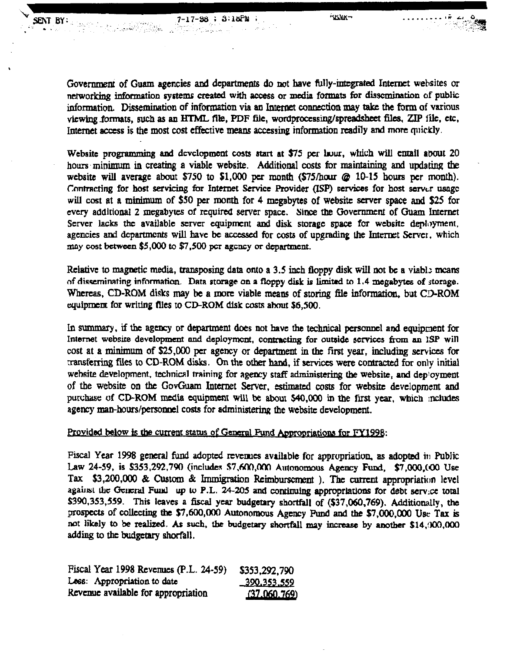a de Chile

SENT BY

Government of Guam agencies and departments do not have fully-integrated Internet websites or networking **informdon system created with access** or **mcdi** fomts for **discmination** of public information. Dissemination of information via an Internet connection may take the form of various viewing formats, such as an HTML file, PDF file, wordprocessing/spreadsheet files, ZIP *ille*, etc. Internet access is the most cost effective means accessing information readily and more quickly.

**Websitc progmmmhg aad** dcvclopment **costs start** at **\$75 per hur, which will** mail atmut 20 hours minimum in **creating** a viable **website.** Additional costs for **maintaining and** updating the website **will** avenge about \$750 to \$1,000 **px month (\$75/hau** @ **10-15** hours per **month).**  ~nnlrnding for host **servicing** for **Intemet** Service Provider **(ISP) senices** for host **acrvtr wgc will cost** at a **minimum** of **\$SO per** month for 4 megabytes of websitc **server** space and \$25 for **evvy addldonal 2 mcgabyw** of **rcquind** server **space.** Since the Government of Guam Intcmct Server lacks the available server equipment and disk storage space for website deployment, agencies and departments will have be accessed for costs of upgrading the Internet Server, which Contracting for host servicing for Internet Service Provider (ISP) services for host server usage<br>will cost at a minimum of \$50 per month for 4 megabytes of website server space and \$25 for<br>every additional 2 megabytes of **may cost between \$5,000 to \$7,500** pcr **agcncy or department.** 

Relative **to magnetic** media, **transposing** data onto a **3.5** inch floppy disk **will not bc** a viabl: **mcam of** rlia~erninating **information.** Data **storage** on a **floppy dirk is** limitad **to 1.4 rnegabytcs of storage.**  Whcrtas. **CD-ROM disks** may be **a more** viable **means** of **storing** file information, but **C3-ROM**  equipment for writing flies to CD-ROM disk costs about \$6,500.

**In summary. if** the **agmcy** or **department does not** have the technical **personnel** and equipnent for **Intemet** websue development **nnd dcploymcnt, contracting for outside services** from **an ISP** will wst at a **minimum** of **\$25,000 per** agency **or department in the first** year, **including scrvicts** for **transferring files to CD-ROM disks. On the other hand, if services were contracted for only initial** wehsite development, *technical* training for agency staff administering the website, and deployment of the website on **the** GovGuam Internet **Server, estimated costs** for website development and **pun;hr** of **CD-ROM** media **equipmen1 will be** about **\$40,000** in the **rust year, whch :ncludes**  agency man-hours/personnel costs for administering the website development.

### **Provided below is the current status of General Fund Appropriations for FY1998:**

**Piscal Year 1998 general fund adopted revenues available for appropriation, as adopted in Public** Law 24-59, is \$353,292,790 (includes \$7,600,000 Autonomous Agency Fund, \$7,000,000 Use **Tax \$3,200,000** & **Custom** & Immigration **Rcimb-** ). **The current** appropriation level against the General Fund up to P.L. 24-205 and continuing approprlations for debt service total **5390,353,559.** This leaves **a** fiscai yc~r **budgetary** shortfall of **(\$37,060,769).** Additionally, the prospects of collecting the \$7,600,000 Autonomous Agency Pund and the \$7,000,000 Use Tax is not likely to be realized. As such, the budgetary shortfall may increase by another \$14,000,000 adding **to** the budgetary Bhwfall.

| Fiscal Year 1998 Revenues (P.L. 24-59) | \$353,292,790      |
|----------------------------------------|--------------------|
| Less: Appropriation to date            | <u>390.353.559</u> |
| Revenue available for appropriation    | (37.060.769)       |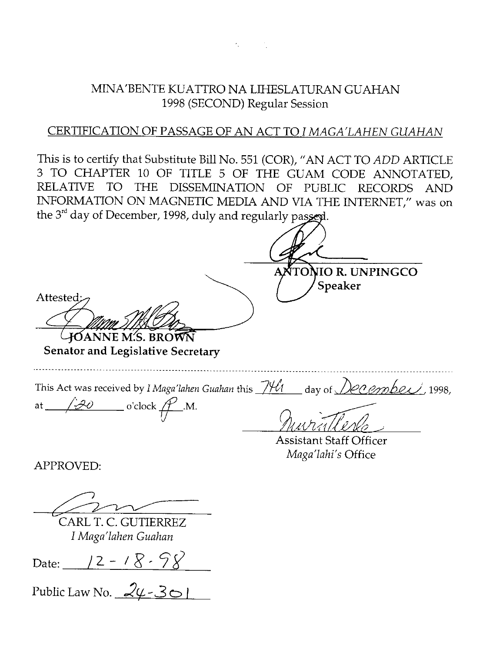MINA'BENTE KUATTRO NA LIHESLATURAN GUAHAN 1998 (SECOND) Regular Session

## CERTIFICATION OF PASSAGE OF AN ACT TO I *MAGA'LAHEN GUAHAN*

This is to certify that Substitute Bill No. 551 (COR), "AN ACT TO *ADD* ARTICLE **3** TO CHAPTER 10 OF TITLE 5 OF THE GUAM CODE ANNOTATED, RELATIVE TO THE DISSEMINATION OF PUBLIC RECORDS AND INFORMATION ON MAGNETIC MEDIA AND VIA THE INTERNET," was on the 3<sup>rd</sup> day of December, 1998, duly and regularly passed.

**Senator and Legislative Secretary**  This Act was received by *I Maga'lahen Guahan t*his *\_JYU* day of *December 1998,* This Act was received by *I Maga'lahen Guahan*<br>at  $\sqrt{20}$  o'clock  $\mathcal{P}$ .M. Assistant Staff Officer MNATENTE KUATTRO NA LIHTESI ATURAN GUALIAN<br>
1998 (SECOND) Regular Session<br>
This is to certify that Substitute Bill No. 551 (COR), "AN ACT TO *ADD* ARTIT<br>
This is to certify that Substitute Bill No. 551 (COR), "AN ACT TO

CARL T. C. GUTIERREZ *I Maga'lahen Guahan* 

Date: <u>12 - 18 - 98</u>

Public Law No. **2~** -3 *O* <sup>I</sup>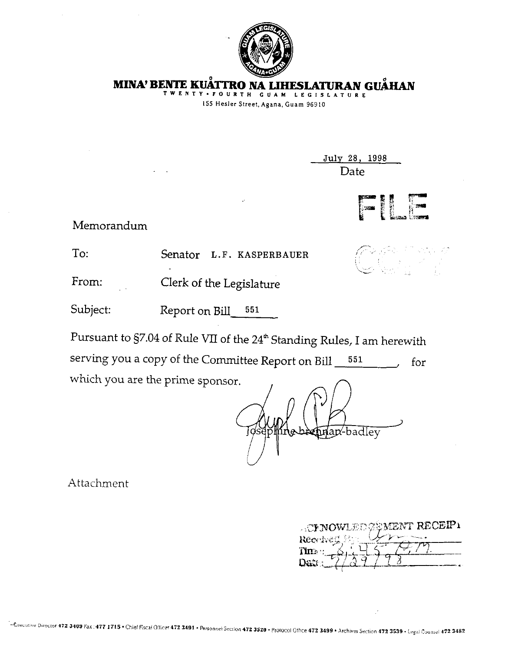

**MINA' BENTE KUĂTTRO NA LIHESLATURAN GUÅHAN** 

**TWENTY-FOURTH GUAM LEGISLATURE IS5 Hesler Street.Agana, Guam 96910** 

> Julv **28,** 1998 Date

> > ,.-.

 $\mathcal{E}_{\mathbf{r}}$ , , ,~ .~.



 $-$  ,  $-$  ,  $-$  ,  $-$ 

Memorandum

To: Senator L.F. KASPERBAUER

From: Clerk of the Legislature

Subject: Report on Bill 551

Pursuant to §7.04 of Rule VII of the 24<sup>th</sup> Standing Rules, I am herewith serving you a copy of the Committee Report on Bill  $\frac{551}{\sqrt{5}}$  for which you are the prime sponsor.

-badlev иап

Attachment

| <b>A TENOWLED ZEMENT RECEIPI</b> |
|----------------------------------|
| Received Pr                      |
|                                  |
|                                  |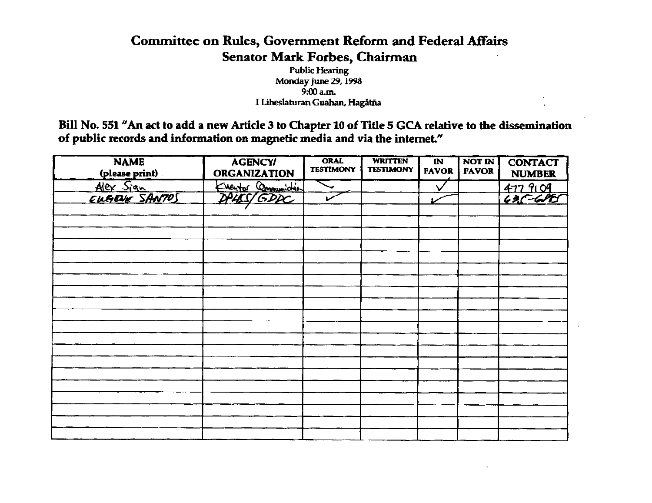## **Committee on Rules, Government Reform and Federal** Affairs **Senator Mark Forbes, Chairman**

**Public Hearing Monday June 29,1998 9:00 a.m. I Liheslaturan Guahan, Hagdtfia** 

**Bill No. 551 "An act to add a new Article 3 to Chapter 10 of Title 5 GCA relative to the dissemination of public records and infonnation on magnetic media and via the internet."** 

| <b>NAME</b><br>(please print) | <b>AGENCY/</b><br><b>ORGANIZATION</b> | <b>ORAL</b><br><b>TESTIMONY</b> | <b>WRITTEN</b><br><b>TESTIMONY</b> | $\overline{\mathbf{N}}$<br><b>FAVOR</b> | <b>NOT IN</b><br><b>FAVOR</b> | <b>CONTACT</b><br><b>NUMBER</b> |
|-------------------------------|---------------------------------------|---------------------------------|------------------------------------|-----------------------------------------|-------------------------------|---------------------------------|
| Alex Sign<br>EUGENE SANTOS    | Eventor Communidation                 |                                 |                                    |                                         |                               |                                 |
|                               |                                       |                                 |                                    |                                         |                               | $4779109$<br>$635-695$          |
|                               |                                       |                                 |                                    |                                         |                               |                                 |
|                               |                                       |                                 |                                    |                                         |                               |                                 |
|                               |                                       |                                 |                                    |                                         |                               |                                 |
|                               |                                       |                                 |                                    |                                         |                               |                                 |
|                               |                                       |                                 |                                    |                                         |                               |                                 |
|                               |                                       |                                 |                                    |                                         |                               |                                 |
|                               |                                       |                                 |                                    |                                         |                               |                                 |
|                               |                                       |                                 |                                    |                                         |                               |                                 |
|                               |                                       |                                 |                                    |                                         |                               |                                 |
|                               |                                       |                                 |                                    |                                         |                               |                                 |
|                               |                                       |                                 |                                    |                                         |                               |                                 |
|                               |                                       |                                 |                                    |                                         |                               |                                 |
|                               |                                       |                                 |                                    |                                         |                               |                                 |
|                               |                                       |                                 |                                    |                                         |                               |                                 |
|                               |                                       |                                 |                                    |                                         |                               |                                 |
|                               |                                       |                                 |                                    |                                         |                               |                                 |
|                               |                                       |                                 |                                    |                                         |                               |                                 |
|                               |                                       |                                 |                                    |                                         |                               |                                 |
|                               |                                       |                                 |                                    |                                         |                               |                                 |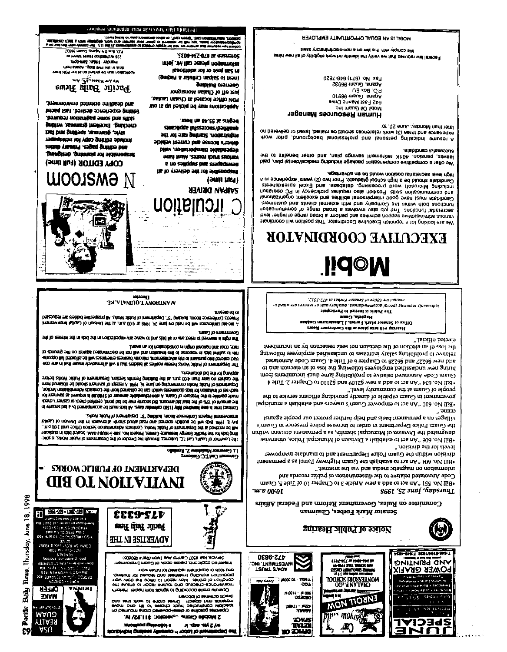

**A3330** 

**TYVN** 

.<br>Terminal dia

**REALTY** 



DEPARTMENT OF PUBLIC WORKS **CHE OL NOLLVIIANI** 

Georgia Carl I.C. Geórgia<br>14 Georgia Madelene Z. Bordallo

Sisteman in the basis that Finder Company are a control to the second the state of the photon in the basis of the state of the state of the state of the state of the state of the state of the state of the state of the stat The Governor of Guard, Carl T.C. Guardiaz, through the Director of the Department of Public Works, is solic-

the casher no haet than 4:00 p.m. at the Building Penmits Section. Department of Public Works betore.<br>Applying for the bid documents. ru visuose bid 6 vd beningramos 9d kaam abid M. 2visib sidenskie (821) yihiji benipenini eree 2 ehtti besinool<br>Abido 2 heritasi os Abido 20 kilometri esimenti sidelinniker-ree isti kuninga kaksi ja kollekti valde sel kont<br>

TURNE UP 10: LIQUIDIQUOT LII URBIQ IPUGRIFU QUE KONT "2019" the resultion and the integrace its investigation and will be determineded against on the grounds of -roo was ni sistii suurin visvalismiitik ilkvi ja laiti zisibbid lis asiation vidend zavovi piduri to memminged srli<br>Latioopo lini beboottis sol liivv esetapente aserikaus vinnami Jatemeetinemis van tansami oomi teenem 156

tuent) jo juoluusin the night is reserved on the data in the allows and when we have a statements and the body of better at intern

1005aud au or Patenper sis reddid svibagiong MA 2/hoW bilduf to trendigged. "8" prightel unooil sonstating are requested st pre-biol contemporal will be held on june 24, 1998 at 9:00 a.m. at the Division of Gapilal Improvement

**DESCRIPTION AND THE TABLE TO A TELEVISION OF THE TABLE TO A TELEVISION OF THE TABLE TABLE TABLE** 



COPY EDITOR (Full time) **ULOOJSMA N** 

Editing copenies desired. Fast paced beniupen noitisnigsq smot bns ellbia. dredding, Excellent grammar, wrlting Siyle, grammar, spelling and fact jugage eqyatiy cobi jol venzbs sapno Annung sabed Suppa pue **Suingleso Suinneig to sidenopsid** 

and deadline oriented environment.

2IV TI MINING AV P.M. Pacific Hailly Hews

(1696 weng Tueby NG 108 'O' o leed zaioli goreldibu 811 TUD9-WEB AEDUT - APDUDW snort i/Off om his qui baskiet od vam notikoliteat<br>mort annable ...giblitt the string about an account

a inisa na "Tasa mamp" (bisan .<br>17 mai: Saul Vanc III (Sina, Angguille)<br>19 mai: Saul Vanc Agauazz (1966 - S.C. A JUDANT BRIS SOUTHERN

The Patritic Daily News is an equal opportunity employer.

**'SEO9-PEZ-OZ9 IR URSURIOS** 

lsnottibbs tot to seo) ns2 ni (griges & uslulle) nequel of trant

vongiznom nalad.) to tto ravi FDN Office located at Chalan Laulau,

nod na 89.22 is entired

survivide infermal bothleng

oni voi otan gartuat2 .notuattaigen

sibidev trenuo bna sensoli attevide

**ITCUIATION** 

bliev .notistroqenist sidsbraqsb

svart fauly, restuen abunt euchner

e uo sagddes pue siadedsivau the to yearithb art tol sidiemogent

Applications may be picked up at our

gniblius oramsuo

(suit fist) **SAIPAN DRIVER** 

information please call Mr. John



"J9mstri 9di siv bns sibem bisngam no noitsmrotni



MOBIL IS AN EQUAL OPPORTUNITY EMPLOYER

We comply with this law on a non-discrimiently basis

Federal law requires that we verify the identity no work eligibility of all new nires.

Agana Guam 96932

PO Box EU<br>Agana Guam 96910

642 East Manne Dnve

Human Resources Manager

on mauD NO lidom

on batevileb to bexs? belism so blooks seonetelet alow (C) setti bins eonerieqxs

Alow long bnuotgasad lanoizzeforq bna lanoztaq gnilasibni emuzel A

leaves, pension, 4011c britainien savings plan, and other benefits to the

We offer a competitive compensation package including medical/dental plan, paid

Canadiana principle in the seatable prises of the internal presentation is a seatable show the seatable present of the seatable presentation is a seatable presentation in a

and communication skills. Position also requires proficiency in PC operation Candidation must have good interpersonal abilities and excellent organizational tunctions both within the Company and with external clients and customers.

notiscinummos to spirat baord a asvioviti oata doi anT anoticinut tahatensea various administrive support arriving bind perform a broad range of higher level We are looking for a topnoton Executive Coordinator. This position will coordinate EXECUTIVE COORDINATOR

**N©bil** 

וווכז וא<mark>י Office of Senator Fonbes a</mark> 472-3512 от разут ало казымая ло круп блицикин "кионтронашозго розада Хитипбал кропрыгрир The Public is Invited to Participate

mean amazell Diffice of Senator Mark Faete in the Conference Room<br>Office of Senator Mark Fardes, I Liberatation Guaban

the loss of an election or the decision not seek reelection by an incumbent

ada bod new 96227 and 96228 to Chapter 6 of Title 4, Guam Code Armotated hiring new unclassitied employees following the loss of an election and to

relative to prohibiting salaty increases to unclassified employees following

Guam Code Armotated relative to probibiting lame duck incumbents from

+ sliiT . S tatqad of 011S2 bns 901S2 wen a bbs of the nA" AE8 .oV llid

government in Guam capable of directly providing efficient service to the laqinimm s daildstes bns atovam a'mauO tawoqms of fas nA" 018.0V llid.

villages on a permanent basis and help further protect our people against

the Guam Police Department in order to increase poirce presence in Guam's designated the Division of Municipal Sheriffs, as a permanent division within

•Bill No. 606 "An act to establish a Division of Municipal Police, otherwise

division within the Guam Police Department and to mandate manpower \*Bill No. 604 "An act to establish the Guam Hawlay Patrol as a permanent

nsil No. 551 "An act to add a new Article 3 to Chapter 10 of Title 5, Guam

Committee on Rules, Government Reform and Federal Affairs

Senator Mark Forbes, Chairman

Code Annotated relative to the dissemination of public records and

beobje of Guam at the community level."

1918 Ret man Mondey, June 22, 10

nigh level secretanal position would be an advantage.

ateproces in research

elected official."

cuus

".noiaivib <del>o</del>d tot alsval

Thursday, June 25, 1998

Fax No. (671) 646-7820



























































































urv 00.01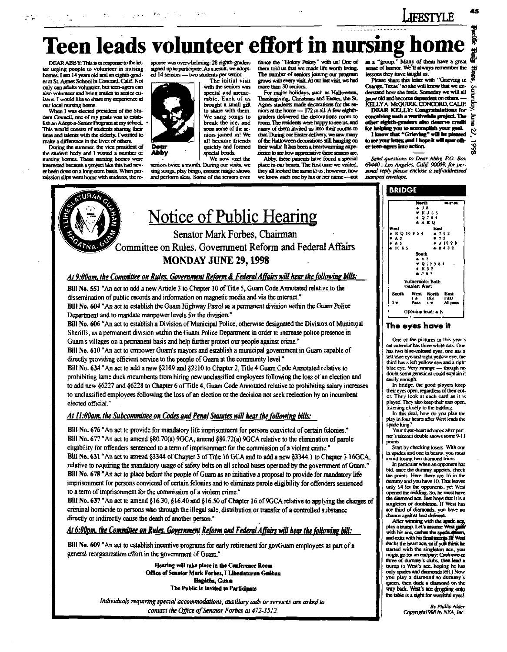$\label{eq:1} \mathcal{L}_{\text{max}}(\mathbf{z},\mathbf{z})=\mathbf{E}(\mathbf{z},\mathbf{z},\mathbf{z})$ 

# Teen leads volunteer effort in nursing hon

DEAR ABBY: This is in response to the letter urging people to volunteer in nursing homes. I am 14 years old and an eighth-grad-<br>er at St. Agnes School in Concord, Calif. Not only can adults volunteer, but teen-agers can also volunteer and bring smiles to senior citizens. I would like to share my experience at our local nursing home.

When I was elected president of the Student Council, one of my goals was to establish an Adopt-a-Senior Program at my school.<br>This would consist of students sharing their time and talents with the elderly. I wanted to make a difference in the lives of others.

During the summer, the vice president of the student hody and I visited a number of nursing homes. These mursing homes were ed because a project like this had never been done on a long-term basis. When permission slips went home with students, the re-



The initial visit with the seniors was special and memorable. Each of us brought a small gift to share with them. We sang songs to hreak the ice, and soon some of the seniors joined in! We all became friends. quickly and formed special bonds. We now visit the

seniors twice a month. During our visits, we sing songs, play bingo, present magic shows and perform skits. Some of the seniors even

an e Abby

dance the "Hokey Pokey" with us! One of them told us that we made life worth living. with us! One of The number of seniors joining our program grows with every visit At our last visit, we had more than 30 seniors.

For major holidays, such as Halloween. Thanksgiving, Christmas and Easter, the St. Agnes students made decorations for the seniors at the home -- 172 in all. A few eighthgraders delivered the decorations room to more. The residents were harvey to see us, and many of them invited us into their rooms to chat. During our Easter delivery, we saw many of the Halloween decorations still hanging on their walls! It has been a heartwarming expenence to see how appreciative these seniors are.

Abby, these patients have found a special place in our hearts. The first time we visited, they all looked the same to us: however, now we know each one by his or her name - not

as a "group." Many of them have a great sense of humor. We'll always remember the lessons they have taught us.

FESTYLE

Please share this letter with "Grieving in Orange. Texas" so she will know that we imderstand how she feels. Someday we will all grow old and become dependent on others. KELLYA MOUTRK CONCORD CALIF

DEAR KELLY: Congratulations for<br>conceiving such a worthwhile project. The<br>other eighth-graders also deserve credit one eigening alons also desirve create<br>I know that "Grieving" will be pleased to see your letter, and I hope it will spur oth-

er teen-neers into action. Send questions to Dear Abby, P.O. Box 69440, Los Angeles, Calif. 90069, for personal reply please enclose a self-addressed

stamped envelope.



#### At 9:00am, the Committee on Rules, Government Reform & Federal Affairs will hear the following bills:

Bill No. 551 "An act to add a new Article 3 to Chapter 10 of Title 5, Guam Code Annotated relative to the dissemination of public records and information on magnetic media and via the internet." Bill No. 604 "An act to establish the Guam Highway Patrol as a permanent division within the Guam Police Department and to mandate manpower levels for the division."

Bill No. 606 "An act to establish a Division of Municipal Police, otherwise designated the Division of Municipal Sheriffs, as a permanent division within the Guam Police Department in order to increase police presence in Guam's villages on a permanent basis and help further protect our people against crime."

Bill No. 610 "An act to empower Guam's mayors and establish a municipal government in Guam capable of directly providing efficient service to the people of Guarn at the community level."

Bill No. 634 "An act to add a new §2109 and §2110 to Chapter 2, Title 4 Guam Code Annotated relative to prohibiting lame duck incumbents from hiring new unclassified employees following the loss of an election and to add new §6227 and §6228 to Chapter 6 of Title 4, Guam Code Annotated relative to prohibiting salary increases to unclassified employees following the loss of an election or the decision not seek reelection by an incumbent elected official"

#### At 11:00am, the Subcommittee on Codes and Penal Statutes will hear the following bills:

Bill No. 676 "An act to provide for mandatory life imprisonment for persons convicted of certain felonies." Bill No. 677 "An act to amend §80.70(a) 9GCA, amend §80.72(a) 9GCA relative to the elimination of parole eligibility for offenders sentenced to a term of imprisonment for the commission of a violent crime." Bill No. 631 "An act to amend §3344 of Chapter 3 of Title 16 GCA and to add a new §3344.1 to Chapter 3 16GCA, relative to requiring the mandatory usage of safety belts on all school buses operated by the government of Guam." Bill No. 678 "An act to place before the people of Guam as an initiative a proposal to provide for mandatory life imprisonment for persons convicted of certain felonies and to eliminate parole eligibility for offenders sentenced to a term of imprisonment for the commission of a violent crime."

Bill No. 637 "An act to amend §16.30, §16.40 and §16.50 of Chapter 16 of 9GCA relative to applying the charges of criminal homicide to persons who through the illegal sale, distribution or transfer of a controlled substance directly or indirectly cause the death of another person."

At 6:00pm, the Committee on Rules, Government Reform and Federal Affairs will hear the following bill:

Bill No. 609 "An act to establish incentive programs for early retirement for govGuam employees as part of a general reorganization effort in the government of Guam."

> Hearing will take place in the Conference Room Office of Senator Mark Forbes, I Libeslaturan Guéhan Hagatha, Guam The Public is Invited to Participate

Individuals requiring special accommodations, auxiliary aids or services are asked to contact the Office of Senator Forbes at 472-3512.

**BRIDGE** . . . . West<br>
● K Q 10<br>
♥ A 3<br>
♦ A 5  $*752$ 11008 Sent's + A 3<br>♥ Q 10 9 8 4  $\tilde{K}$  3.2 .<br>Vulnerable: Both Dealer West North<br>Dhi<br>4 V East<br>Pass<br>All pas West i e<br>Pazs Opening lead: A K

#### The eves have it

One of the pictures in this year's cat calendar has three white cats. One has two blue-colored eves: one has a left blue eve and right vellow eve; the third has a left yellow eye and a right<br>blue eye. Very strange - though no doubt some geneticist could explain it casily enough.

In bridge, the good players keep their eyes open, regardless of their color. They look at each card as it is blayed. They also keep their ears open. listening closely to the bidding.

In this deal, how do you plan the play in four hearts after West leads the spade king?

Your three-heart advance after partner's takeout double shows some 9-11

Start by checking losers. With one in spacies and one in hearts, you must oid losing two diamond tricks

In particular when an opponent has bid. once the dummy appear rs. check the points. Here, there are 16 in the durumy and you have 10. That leaves only 14 for the opponents, yet West opened the bidding. So, he must have<br>the diamond ace. Just hope that it is a singleton or doubleton. If West has ace-third of diamonds, you have no chance against best defens

After winning with the speed play a trump. Let's assume West giant with his ace, cashes the spade afferent<br>and exits with his final trump. (If West ducks the heart ace, or if you think he started with the singleton ace, you<br>might go for an endplay. Cash two or three of dummy's clubs, then lead a trump to West's ace, hoping he has only spades and diamonds left.) Now you play a diamond to dummy's queen, then duck a diamond on the way back. West's ace dropping onto the table is a sight for watchful eyes!

> .<br>By Phillip Alder Copyright1998 by NEA Inc.

# math 岁 ۊ bune Z 866 L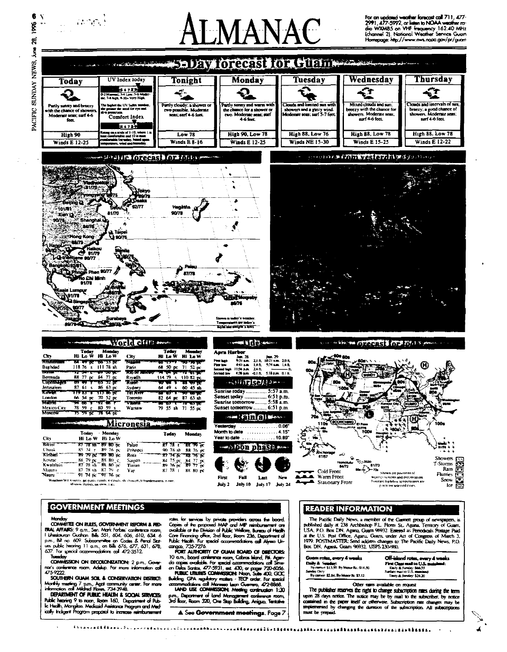

#### **GOVERNMENT MEETINGS**

#### Mondov

COMMITTEE ON RULES, GOVERNMENT REPORM & RED-University of MULES, (APVENTIVENTI REPORTED THE SEAL APPLIES: 9 cum, Sen, Mark Forbes' conference noon)<br>I Lihestownon Guchon. Bills 551, 604, 606, 610, 634. 6<br>p.m., Bill no. 609. Subcommittee on Cooles & Penal Stat-<br>use pu

COMMISSION ON DECOLONIZATION: 2 p.m., Govern not's conference room, Adeling. For more information call

SOUTHERN GUAM SOIL & CONSERVATION DISTRICT: Monthly meding 7 p.m., Agot community center. For more<br>information call Midred Hows, 734-3948.<br>DEPARTMENT OF PUBLIC HEALTH & SOCIAL SERVICES.

www.minister.com.com.com.il/0, Department of Rub<br>India: hearing 9 to noon, Room 160, Department of Rub<br>In: Hadilh, Mongilao. Medicaid Assistance Program and Medically Indigent Program praposal to increase reimbursement

rates for services by private providers across the board.<br>Copies of the proposed MAP and MIP reimbursement are<br>available of the Division of Public Welliams, Bureau of Health<br>Core Financing office, 2nd floar, Room 236, Depa Public Health. For special accommodations call Alysso Unango, 735-7276.

corgo., 735-7276.<br>
PORT AURINDRIY OF GUAM BOARD OF DRECTORS:<br>
10 cm, boord conference room, Cabras Island, PK. Agen-<br>
do copes evaluate. For spacial conservations and Simes<br>
on Data Simes, 477-5931, est. 430, or pages 720-

p.m., Department of land Management conference room,<br>3rd floor, Room 320, One Step Building, Anigua, Tentative

A See Government meetings. Page 7

#### **READER INFORMATION**

The Pacific Daily News, a member of the Gannett group of newspi published daily at 238 Archbishop F.L. Flores St., Agana. Territory of Guam punisma izany a zoo Arcimentary Pr.L. Protes St., Againa, Immitry or Guian, Ush Philadeles Postage Paid<br>at the U.S. Post Office, Againa, Guam We932. Entered as Periodicals Postage Paid<br>at the U.S. Post Office, Againa, Guam

Guam rates, every 4 weeks Concern stress, error y 4 Weeks<br>Daily & Senday:<br>By carner \$13,50. By Motor Rt.: \$14,50.<br>Senday Only: many umry<br>By camer: \$2.84. By Motor Rt. \$1.12

**Off-island rutes, every 4 weeks**<br>First Clear mail to U.S. mainland:<br>Surise mail to U.S. mainland:<br>Surise mail to U.S. mainland:<br>Theiry & Sunday: \$24.20

Other rates available on request The publisher reserves the right to change subscription rates during the term upon 28 days notice. The notice may be by mail to the subscriber, by notice contained in the paper itself or otherwise. Subscription rate changes may be implemented by changing the duration of the subscription. All subscriptions must be prepaid.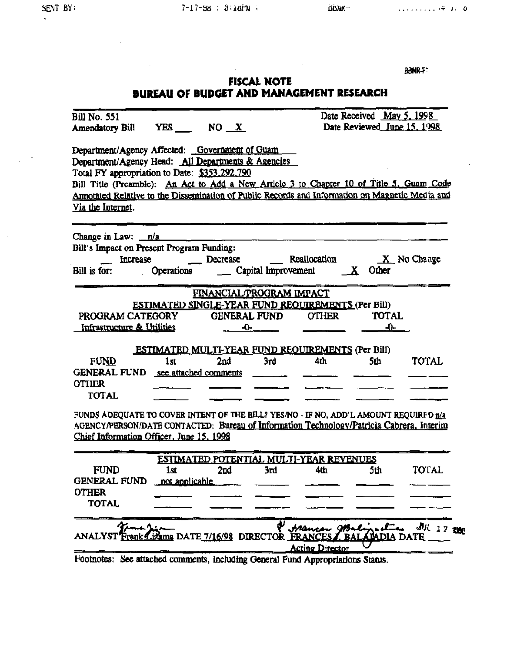| 61 D  | u<br>н<br>π |  |  |
|-------|-------------|--|--|
| الأال | мπ          |  |  |

### **FISCAL NOTE BUREAU OF BUDGET AND MANAGEMENT RESEARCH**

| Bill No. 551                                                                                                                                                                                                                                                                                                                                                             |                |     |                                | Date Received May 5, 1998                                |                             |              |  |
|--------------------------------------------------------------------------------------------------------------------------------------------------------------------------------------------------------------------------------------------------------------------------------------------------------------------------------------------------------------------------|----------------|-----|--------------------------------|----------------------------------------------------------|-----------------------------|--------------|--|
| Amendatory Bill YES ___ NO X                                                                                                                                                                                                                                                                                                                                             |                |     |                                |                                                          | Date Reviewed June 15, 1998 |              |  |
| Department/Agency Affected: Government of Guam<br>Department/Agency Head: All Departments & Agencies<br>Total FY appropriation to Date: \$353,292,790<br>Bill Title (Preamble): An Act to Add a New Article 3 to Chapter 10 of Title 5, Guam Code<br>Amotated Relative to the Dissemination of Public Records and Information on Magnetic Media and<br>Via the Internet. |                |     |                                |                                                          |                             |              |  |
| Change in Law: $n/a$                                                                                                                                                                                                                                                                                                                                                     |                |     |                                |                                                          |                             |              |  |
| Bill's Impact on Present Program Funding:                                                                                                                                                                                                                                                                                                                                |                |     |                                |                                                          |                             |              |  |
| Increase                                                                                                                                                                                                                                                                                                                                                                 |                |     |                                | Decrease Reallocation X No Change                        |                             |              |  |
| Bill is for:                                                                                                                                                                                                                                                                                                                                                             |                |     |                                | <b>Capital Improvement</b> $\overline{X}$ Other          |                             |              |  |
|                                                                                                                                                                                                                                                                                                                                                                          |                |     | FINANCIAL/PROGRAM IMPACT       |                                                          |                             |              |  |
|                                                                                                                                                                                                                                                                                                                                                                          |                |     |                                | ESTIMATED SINGLE-YEAR FUND REQUIREMENTS (Per Bill)       |                             |              |  |
| PROGRAM CATEGORY                                                                                                                                                                                                                                                                                                                                                         |                |     |                                | GENERAL FUND OTHER TOTAL                                 |                             |              |  |
| Infrastructure & Utilities                                                                                                                                                                                                                                                                                                                                               |                |     | $-0$ and $-$                   |                                                          | $-0-$                       |              |  |
|                                                                                                                                                                                                                                                                                                                                                                          |                |     |                                |                                                          |                             |              |  |
|                                                                                                                                                                                                                                                                                                                                                                          |                |     |                                | <b>ESTIMATED MULTI-YEAR FUND REQUIREMENTS (Per Bill)</b> |                             |              |  |
| <b>FUND</b>                                                                                                                                                                                                                                                                                                                                                              | 1st            | 2nd | 3rd                            | 4th                                                      | 5th                         | <b>TOTAL</b> |  |
| GENERAL FUND see attached comments                                                                                                                                                                                                                                                                                                                                       |                |     |                                |                                                          |                             |              |  |
| <b>OTHER</b>                                                                                                                                                                                                                                                                                                                                                             |                |     |                                |                                                          |                             |              |  |
| <b>TOTAL</b>                                                                                                                                                                                                                                                                                                                                                             |                |     |                                |                                                          |                             |              |  |
| FUNDS ADEQUATE TO COVER INTENT OF THE BILL? YES/NO - IF NO, ADD'L AMOUNT REQUIRED $n/2$<br>AGENCY/PERSON/DATE CONTACTED: Bureau of Information Technology/Patricia Cabrera, Interim<br>Chief Information Officer. June 15, 1998                                                                                                                                          |                |     |                                |                                                          |                             |              |  |
|                                                                                                                                                                                                                                                                                                                                                                          |                |     |                                | ESTIMATED POTENTIAL MULTI-YEAR REVENUES                  |                             |              |  |
| <b>FUND</b>                                                                                                                                                                                                                                                                                                                                                              | <b>1st</b>     | 2nd | 3rd                            | 4th                                                      | 5th                         | TOTAL        |  |
| <b>GENERAL FUND</b>                                                                                                                                                                                                                                                                                                                                                      | not applicable |     |                                |                                                          |                             |              |  |
| <b>OTHER</b>                                                                                                                                                                                                                                                                                                                                                             |                |     |                                |                                                          |                             |              |  |
| <b>TOTAL</b>                                                                                                                                                                                                                                                                                                                                                             |                |     |                                |                                                          |                             |              |  |
|                                                                                                                                                                                                                                                                                                                                                                          |                |     | ama DATE 7/16/98 DIRECTOR FRAN | <u>Acting Director</u>                                   | UADIA                       | $JU(17)$ 220 |  |
| Footnotes: See attached comments, including General Fund Appropriations Status.                                                                                                                                                                                                                                                                                          |                |     |                                |                                                          |                             |              |  |

 $\mathbf{w}$  .